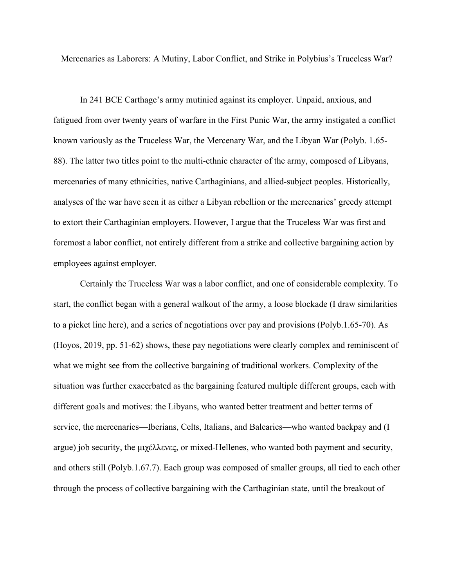Mercenaries as Laborers: A Mutiny, Labor Conflict, and Strike in Polybius's Truceless War?

In 241 BCE Carthage's army mutinied against its employer. Unpaid, anxious, and fatigued from over twenty years of warfare in the First Punic War, the army instigated a conflict known variously as the Truceless War, the Mercenary War, and the Libyan War (Polyb. 1.65- 88). The latter two titles point to the multi-ethnic character of the army, composed of Libyans, mercenaries of many ethnicities, native Carthaginians, and allied-subject peoples. Historically, analyses of the war have seen it as either a Libyan rebellion or the mercenaries' greedy attempt to extort their Carthaginian employers. However, I argue that the Truceless War was first and foremost a labor conflict, not entirely different from a strike and collective bargaining action by employees against employer.

Certainly the Truceless War was a labor conflict, and one of considerable complexity. To start, the conflict began with a general walkout of the army, a loose blockade (I draw similarities to a picket line here), and a series of negotiations over pay and provisions (Polyb.1.65-70). As (Hoyos, 2019, pp. 51-62) shows, these pay negotiations were clearly complex and reminiscent of what we might see from the collective bargaining of traditional workers. Complexity of the situation was further exacerbated as the bargaining featured multiple different groups, each with different goals and motives: the Libyans, who wanted better treatment and better terms of service, the mercenaries—Iberians, Celts, Italians, and Balearics—who wanted backpay and (I argue) job security, the μιχέλλενες, or mixed-Hellenes, who wanted both payment and security, and others still (Polyb.1.67.7). Each group was composed of smaller groups, all tied to each other through the process of collective bargaining with the Carthaginian state, until the breakout of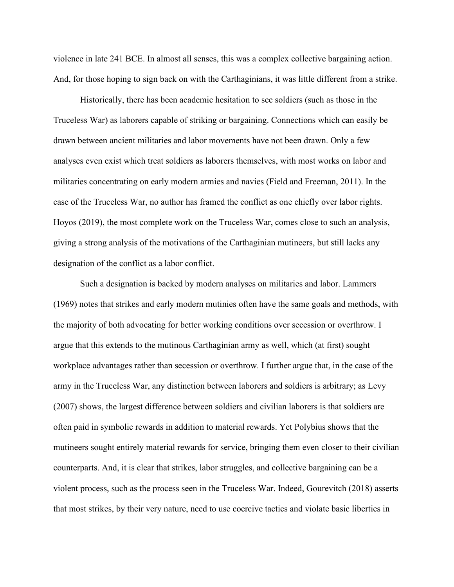violence in late 241 BCE. In almost all senses, this was a complex collective bargaining action. And, for those hoping to sign back on with the Carthaginians, it was little different from a strike.

Historically, there has been academic hesitation to see soldiers (such as those in the Truceless War) as laborers capable of striking or bargaining. Connections which can easily be drawn between ancient militaries and labor movements have not been drawn. Only a few analyses even exist which treat soldiers as laborers themselves, with most works on labor and militaries concentrating on early modern armies and navies (Field and Freeman, 2011). In the case of the Truceless War, no author has framed the conflict as one chiefly over labor rights. Hoyos (2019), the most complete work on the Truceless War, comes close to such an analysis, giving a strong analysis of the motivations of the Carthaginian mutineers, but still lacks any designation of the conflict as a labor conflict.

Such a designation is backed by modern analyses on militaries and labor. Lammers (1969) notes that strikes and early modern mutinies often have the same goals and methods, with the majority of both advocating for better working conditions over secession or overthrow. I argue that this extends to the mutinous Carthaginian army as well, which (at first) sought workplace advantages rather than secession or overthrow. I further argue that, in the case of the army in the Truceless War, any distinction between laborers and soldiers is arbitrary; as Levy (2007) shows, the largest difference between soldiers and civilian laborers is that soldiers are often paid in symbolic rewards in addition to material rewards. Yet Polybius shows that the mutineers sought entirely material rewards for service, bringing them even closer to their civilian counterparts. And, it is clear that strikes, labor struggles, and collective bargaining can be a violent process, such as the process seen in the Truceless War. Indeed, Gourevitch (2018) asserts that most strikes, by their very nature, need to use coercive tactics and violate basic liberties in